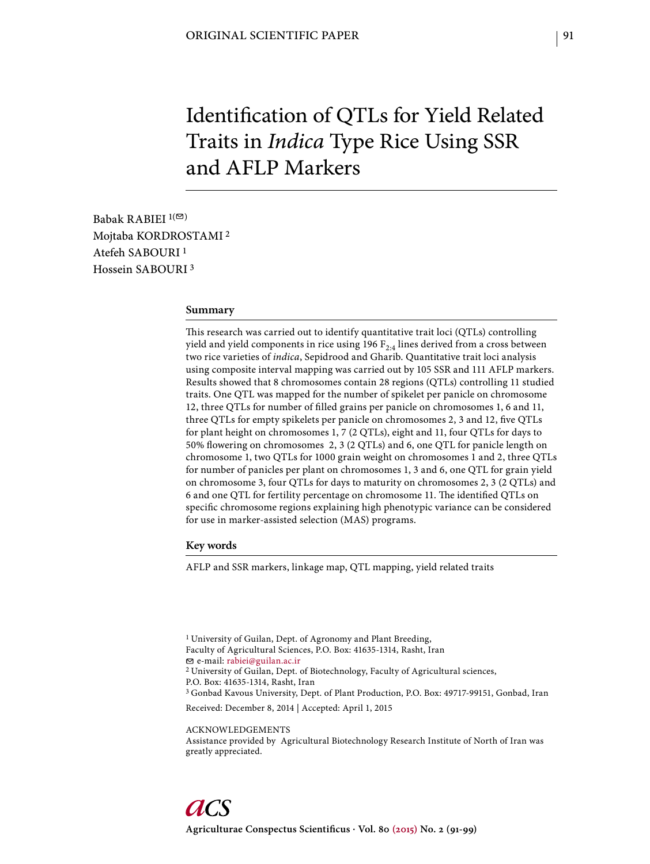# Identification of QTLs for Yield Related Traits in *Indica* Type Rice Using SSR and AFLP Markers

Babak RABIEI  $1($ Mojtaba KORDROSTAMI 2 Atefeh SABOURI 1 Hossein SABOURI 3

#### **Summary**

This research was carried out to identify quantitative trait loci (QTLs) controlling yield and yield components in rice using 196  $F_{2,4}$  lines derived from a cross between two rice varieties of *indica*, Sepidrood and Gharib. Quantitative trait loci analysis using composite interval mapping was carried out by 105 SSR and 111 AFLP markers. Results showed that 8 chromosomes contain 28 regions (QTLs) controlling 11 studied traits. One QTL was mapped for the number of spikelet per panicle on chromosome 12, three QTLs for number of filled grains per panicle on chromosomes 1, 6 and 11, three QTLs for empty spikelets per panicle on chromosomes 2, 3 and 12, five QTLs for plant height on chromosomes 1, 7 (2 QTLs), eight and 11, four QTLs for days to 50% flowering on chromosomes 2, 3 (2 QTLs) and 6, one QTL for panicle length on chromosome 1, two QTLs for 1000 grain weight on chromosomes 1 and 2, three QTLs for number of panicles per plant on chromosomes 1, 3 and 6, one QTL for grain yield on chromosome 3, four QTLs for days to maturity on chromosomes 2, 3 (2 QTLs) and 6 and one QTL for fertility percentage on chromosome 11. The identified QTLs on specific chromosome regions explaining high phenotypic variance can be considered for use in marker-assisted selection (MAS) programs.

#### **Key words**

AFLP and SSR markers, linkage map, QTL mapping, yield related traits

<sup>1</sup> University of Guilan, Dept. of Agronomy and Plant Breeding, Faculty of Agricultural Sciences, P.O. Box: 41635-1314, Rasht, Iran e-mail: rabiei@guilan.ac.ir 2 University of Guilan, Dept. of Biotechnology, Faculty of Agricultural sciences, P.O. Box: 41635-1314, Rasht, Iran 3 Gonbad Kavous University, Dept. of Plant Production, P.O. Box: 49717-99151, Gonbad, Iran Received: December 8, 2014 | Accepted: April 1, 2015 ACKNOWLEDGEMENTS

Assistance provided by Agricultural Biotechnology Research Institute of North of Iran was greatly appreciated.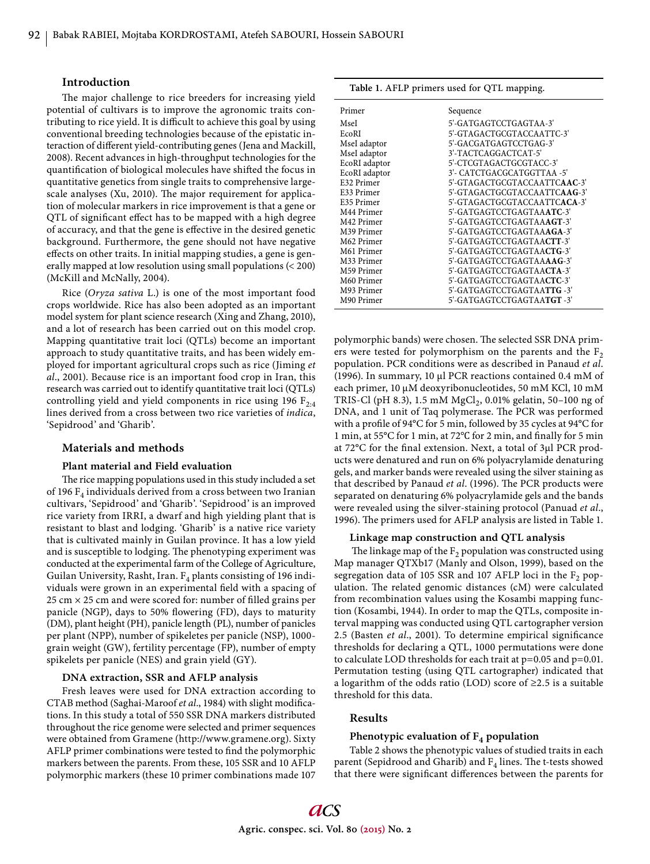#### **Introduction**

The major challenge to rice breeders for increasing yield potential of cultivars is to improve the agronomic traits contributing to rice yield. It is difficult to achieve this goal by using conventional breeding technologies because of the epistatic interaction of different yield-contributing genes (Jena and Mackill, 2008). Recent advances in high-throughput technologies for the quantification of biological molecules have shifted the focus in quantitative genetics from single traits to comprehensive largescale analyses (Xu, 2010). The major requirement for application of molecular markers in rice improvement is that a gene or QTL of significant effect has to be mapped with a high degree of accuracy, and that the gene is effective in the desired genetic background. Furthermore, the gene should not have negative effects on other traits. In initial mapping studies, a gene is generally mapped at low resolution using small populations (< 200) (McKill and McNally, 2004).

Rice (*Oryza sativa* L.) is one of the most important food crops worldwide. Rice has also been adopted as an important model system for plant science research (Xing and Zhang, 2010), and a lot of research has been carried out on this model crop. Mapping quantitative trait loci (QTLs) become an important approach to study quantitative traits, and has been widely employed for important agricultural crops such as rice (Jiming *et al*., 2001). Because rice is an important food crop in Iran, this research was carried out to identify quantitative trait loci (QTLs) controlling yield and yield components in rice using 196  $F_{2:4}$ lines derived from a cross between two rice varieties of *indica*, 'Sepidrood' and 'Gharib'.

#### **Materials and methods**

## **Plant material and Field evaluation**

The rice mapping populations used in this study included a set of 196  $F_4$  individuals derived from a cross between two Iranian cultivars, 'Sepidrood' and 'Gharib'. 'Sepidrood' is an improved rice variety from IRRI, a dwarf and high yielding plant that is resistant to blast and lodging. 'Gharib' is a native rice variety that is cultivated mainly in Guilan province. It has a low yield and is susceptible to lodging. The phenotyping experiment was conducted at the experimental farm of the College of Agriculture, Guilan University, Rasht, Iran.  $F_4$  plants consisting of 196 individuals were grown in an experimental field with a spacing of 25 cm  $\times$  25 cm and were scored for: number of filled grains per panicle (NGP), days to 50% flowering (FD), days to maturity (DM), plant height (PH), panicle length (PL), number of panicles per plant (NPP), number of spikeletes per panicle (NSP), 1000 grain weight (GW), fertility percentage (FP), number of empty spikelets per panicle (NES) and grain yield (GY).

# **DNA extraction, SSR and AFLP analysis**

Fresh leaves were used for DNA extraction according to CTAB method (Saghai-Maroof et al., 1984) with slight modifications. In this study a total of 550 SSR DNA markers distributed throughout the rice genome were selected and primer sequences were obtained from Gramene (http://www.gramene.org). Sixty AFLP primer combinations were tested to find the polymorphic markers between the parents. From these, 105 SSR and 10 AFLP polymorphic markers (these 10 primer combinations made 107

**Table 1.** AFLP primers used for QTL mapping.

| Primer        | Sequence                              |
|---------------|---------------------------------------|
| MseI          | 5'-GATGAGTCCTGAGTAA-3'                |
| EcoRI         | 5'-GTAGACTGCGTACCAATTC-3'             |
| MseI adaptor  | 5'-GACGATGAGTCCTGAG-3'                |
| MseI adaptor  | 3'-TACTCAGGACTCAT-5'                  |
| EcoRI adaptor | 5'-CTCGTAGACTGCGTACC-3'               |
| EcoRI adaptor | 3'- CATCTGACGCATGGTTAA -5'            |
| E32 Primer    | 5'-GTAGACTGCGTACCAATTC <b>AAC</b> -3' |
| E33 Primer    | 5'-GTAGACTGCGTACCAATTC <b>AAG</b> -3' |
| E35 Primer    | 5'-GTAGACTGCGTACCAATTC <b>ACA</b> -3' |
| M44 Primer    | 5'-GATGAGTCCTGAGTAAATC-3'             |
| M42 Primer    | 5'-GATGAGTCCTGAGTAA <b>AGT</b> -3'    |
| M39 Primer    | 5'-GATGAGTCCTGAGTAA <b>AGA</b> -3'    |
| M62 Primer    | 5'-GATGAGTCCTGAGTAA <b>CTT</b> -3'    |
| M61 Primer    | 5'-GATGAGTCCTGAGTAA <b>CTG</b> -3'    |
| M33 Primer    | 5'-GATGAGTCCTGAGTAAAAG-3'             |
| M59 Primer    | 5'-GATGAGTCCTGAGTAA <b>CTA</b> -3'    |
| M60 Primer    | 5'-GATGAGTCCTGAGTAA <b>CTC</b> -3'    |
| M93 Primer    | 5'-GATGAGTCCTGAGTAA <b>TTG</b> -3'    |
| M90 Primer    | 5'-GATGAGTCCTGAGTAA <b>TGT</b> -3'    |

polymorphic bands) were chosen. The selected SSR DNA primers were tested for polymorphism on the parents and the  $F_2$ population. PCR conditions were as described in Panaud *et al*. (1996). In summary, 10 μl PCR reactions contained 0.4 mM of each primer, 10 μM deoxyribonucleotides, 50 mM KCl, 10 mM TRIS-Cl (pH 8.3), 1.5 mM MgCl<sub>2</sub>, 0.01% gelatin, 50–100 ng of DNA, and 1 unit of Taq polymerase. The PCR was performed with a profile of 94°C for 5 min, followed by 35 cycles at 94°C for 1 min, at 55°C for 1 min, at 72°C for 2 min, and finally for 5 min at 72°C for the final extension. Next, a total of 3μl PCR products were denatured and run on 6% polyacrylamide denaturing gels, and marker bands were revealed using the silver staining as that described by Panaud et al. (1996). The PCR products were separated on denaturing 6% polyacrylamide gels and the bands were revealed using the silver-staining protocol (Panuad *et al*., 1996). The primers used for AFLP analysis are listed in Table 1.

#### **Linkage map construction and QTL analysis**

The linkage map of the  $F_2$  population was constructed using Map manager QTXb17 (Manly and Olson, 1999), based on the segregation data of 105 SSR and 107 AFLP loci in the  $F_2$  population. The related genomic distances (cM) were calculated from recombination values using the Kosambi mapping function (Kosambi, 1944). In order to map the QTLs, composite interval mapping was conducted using QTL cartographer version 2.5 (Basten *et al.*, 2001). To determine empirical significance thresholds for declaring a QTL, 1000 permutations were done to calculate LOD thresholds for each trait at p=0.05 and p=0.01. Permutation testing (using QTL cartographer) indicated that a logarithm of the odds ratio (LOD) score of ≥2.5 is a suitable threshold for this data.

#### **Results**

## **Phenotypic evaluation of F4 population**

Table 2 shows the phenotypic values of studied traits in each parent (Sepidrood and Gharib) and  $F_4$  lines. The t-tests showed that there were significant differences between the parents for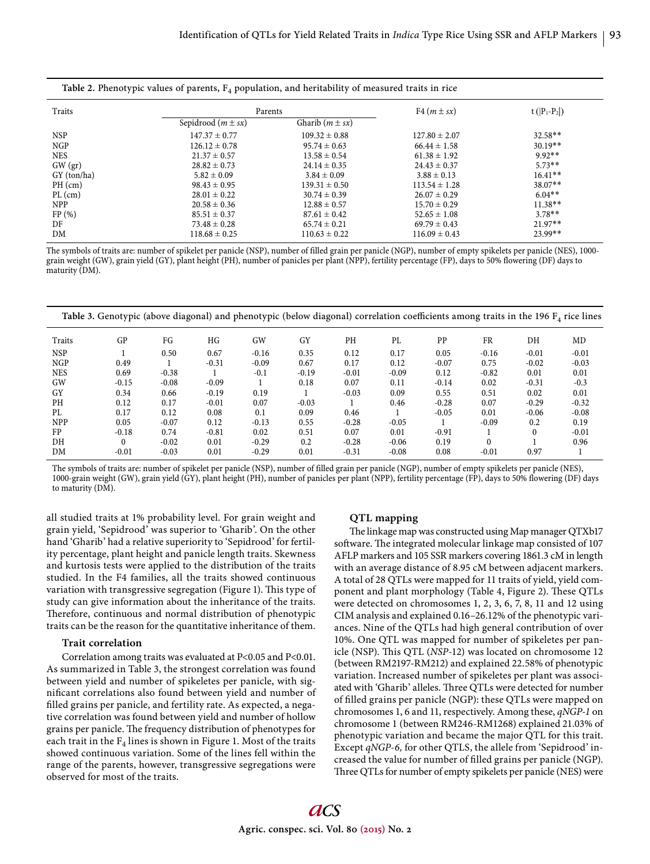| Table 2. Phenotypic values of parents, $F_4$ population, and heritability of measured traits in rice |  |  |  |
|------------------------------------------------------------------------------------------------------|--|--|--|
|------------------------------------------------------------------------------------------------------|--|--|--|

| Traits      | Parents                |                     | F4 $(m \pm sx)$   | $t( P_1-P_2 )$ |
|-------------|------------------------|---------------------|-------------------|----------------|
|             | Sepidrood $(m \pm sx)$ | Gharib $(m \pm sx)$ |                   |                |
| <b>NSP</b>  | $147.37 \pm 0.77$      | $109.32 \pm 0.88$   | $127.80 \pm 2.07$ | $32.58**$      |
| <b>NGP</b>  | $126.12 \pm 0.78$      | $95.74 \pm 0.63$    | $66.44 \pm 1.58$  | $30.19**$      |
| <b>NES</b>  | $21.37 \pm 0.57$       | $13.58 \pm 0.54$    | $61.38 \pm 1.92$  | $9.92**$       |
| GW (gr)     | $28.82 \pm 0.73$       | $24.14 \pm 0.35$    | $24.43 \pm 0.37$  | $5.73**$       |
| GY (ton/ha) | $5.82 \pm 0.09$        | $3.84 \pm 0.09$     | $3.88 \pm 0.13$   | $16.41**$      |
| $PH$ (cm)   | $98.43 \pm 0.95$       | $139.31 \pm 0.50$   | $113.54 \pm 1.28$ | $38.07**$      |
| $PL$ (cm)   | $28.01 \pm 0.22$       | $30.74 \pm 0.39$    | $26.07 \pm 0.29$  | $6.04**$       |
| <b>NPP</b>  | $20.58 \pm 0.36$       | $12.88 \pm 0.57$    | $15.70 \pm 0.29$  | $11.38**$      |
| FP(%)       | $85.51 \pm 0.37$       | $87.61 \pm 0.42$    | $52.65 \pm 1.08$  | $3.78**$       |
| DF          | $73.48 \pm 0.28$       | $65.74 \pm 0.21$    | $69.79 \pm 0.43$  | $21.97**$      |
| DM          | $118.68 \pm 0.25$      | $110.63 \pm 0.22$   | $116.09 \pm 0.43$ | 23.99**        |

The symbols of traits are: number of spikelet per panicle (NSP), number of filled grain per panicle (NGP), number of empty spikelets per panicle (NES), 1000 grain weight (GW), grain yield (GY), plant height (PH), number of panicles per plant (NPP), fertility percentage (FP), days to 50% flowering (DF) days to maturity (DM).

|            | Table 3. Genotypic (above diagonal) and phenotypic (below diagonal) correlation coefficients among traits in the 196 $F_4$ rice lines |         |         |         |         |         |         |           |           |          |         |
|------------|---------------------------------------------------------------------------------------------------------------------------------------|---------|---------|---------|---------|---------|---------|-----------|-----------|----------|---------|
| Traits     | GP                                                                                                                                    | FG      | HG      | GW      | GY      | PH      | PL      | <b>PP</b> | <b>FR</b> | DH       | MD      |
| <b>NSP</b> |                                                                                                                                       | 0.50    | 0.67    | $-0.16$ | 0.35    | 0.12    | 0.17    | 0.05      | $-0.16$   | $-0.01$  | $-0.01$ |
| <b>NGP</b> | 0.49                                                                                                                                  |         | $-0.31$ | $-0.09$ | 0.67    | 0.17    | 0.12    | $-0.07$   | 0.75      | $-0.02$  | $-0.03$ |
| <b>NES</b> | 0.69                                                                                                                                  | $-0.38$ |         | $-0.1$  | $-0.19$ | $-0.01$ | $-0.09$ | 0.12      | $-0.82$   | 0.01     | 0.01    |
| GW         | $-0.15$                                                                                                                               | $-0.08$ | $-0.09$ |         | 0.18    | 0.07    | 0.11    | $-0.14$   | 0.02      | $-0.31$  | $-0.3$  |
| GY         | 0.34                                                                                                                                  | 0.66    | $-0.19$ | 0.19    |         | $-0.03$ | 0.09    | 0.55      | 0.51      | 0.02     | 0.01    |
| PH         | 0.12                                                                                                                                  | 0.17    | $-0.01$ | 0.07    | $-0.03$ |         | 0.46    | $-0.28$   | 0.07      | $-0.29$  | $-0.32$ |
| PI.        | 0.17                                                                                                                                  | 0.12    | 0.08    | 0.1     | 0.09    | 0.46    |         | $-0.05$   | 0.01      | $-0.06$  | $-0.08$ |
| <b>NPP</b> | 0.05                                                                                                                                  | $-0.07$ | 0.12    | $-0.13$ | 0.55    | $-0.28$ | $-0.05$ |           | $-0.09$   | 0.2      | 0.19    |
| FP         | $-0.18$                                                                                                                               | 0.74    | $-0.81$ | 0.02    | 0.51    | 0.07    | 0.01    | $-0.91$   |           | $\theta$ | $-0.01$ |
| DH         | $\Omega$                                                                                                                              | $-0.02$ | 0.01    | $-0.29$ | 0.2     | $-0.28$ | $-0.06$ | 0.19      | $\Omega$  |          | 0.96    |
| DM         | $-0.01$                                                                                                                               | $-0.03$ | 0.01    | $-0.29$ | 0.01    | $-0.31$ | $-0.08$ | 0.08      | $-0.01$   | 0.97     |         |

The symbols of traits are: number of spikelet per panicle (NSP), number of filled grain per panicle (NGP), number of empty spikelets per panicle (NES), 1000-grain weight (GW), grain yield (GY), plant height (PH), number of panicles per plant (NPP), fertility percentage (FP), days to 50% flowering (DF) days to maturity (DM).

all studied traits at 1% probability level. For grain weight and grain yield, 'Sepidrood' was superior to 'Gharib'. On the other hand 'Gharib' had a relative superiority to 'Sepidrood' for fertility percentage, plant height and panicle length traits. Skewness and kurtosis tests were applied to the distribution of the traits studied. In the F4 families, all the traits showed continuous variation with transgressive segregation (Figure 1). This type of study can give information about the inheritance of the traits. Therefore, continuous and normal distribution of phenotypic traits can be the reason for the quantitative inheritance of them.

#### **Trait correlation**

Correlation among traits was evaluated at P<0.05 and P<0.01. As summarized in Table 3, the strongest correlation was found between yield and number of spikeletes per panicle, with significant correlations also found between yield and number of filled grains per panicle, and fertility rate. As expected, a negative correlation was found between yield and number of hollow grains per panicle. The frequency distribution of phenotypes for each trait in the  $F_4$  lines is shown in Figure 1. Most of the traits showed continuous variation. Some of the lines fell within the range of the parents, however, transgressive segregations were observed for most of the traits.

#### **QTL mapping**

The linkage map was constructed using Map manager QTXb17 software. The integrated molecular linkage map consisted of 107 AFLP markers and 105 SSR markers covering 1861.3 cM in length with an average distance of 8.95 cM between adjacent markers. A total of 28 QTLs were mapped for 11 traits of yield, yield component and plant morphology (Table 4, Figure 2). These QTLs were detected on chromosomes 1, 2, 3, 6, 7, 8, 11 and 12 using CIM analysis and explained 0.16–26.12% of the phenotypic variances. Nine of the QTLs had high general contribution of over 10%. One QTL was mapped for number of spikeletes per panicle (NSP). This QTL (*NSP-12*) was located on chromosome 12 (between RM2197-RM212) and explained 22.58% of phenotypic variation. Increased number of spikeletes per plant was associated with 'Gharib' alleles. Th ree QTLs were detected for number of filled grains per panicle (NGP): these QTLs were mapped on chromosomes 1, 6 and 11, respectively. Among these, *qNGP-1* on chromosome 1 (between RM246-RM1268) explained 21.03% of phenotypic variation and became the major QTL for this trait. Except *qNGP-6,* for other QTLS, the allele from 'Sepidrood' increased the value for number of filled grains per panicle (NGP). Three QTLs for number of empty spikelets per panicle (NES) were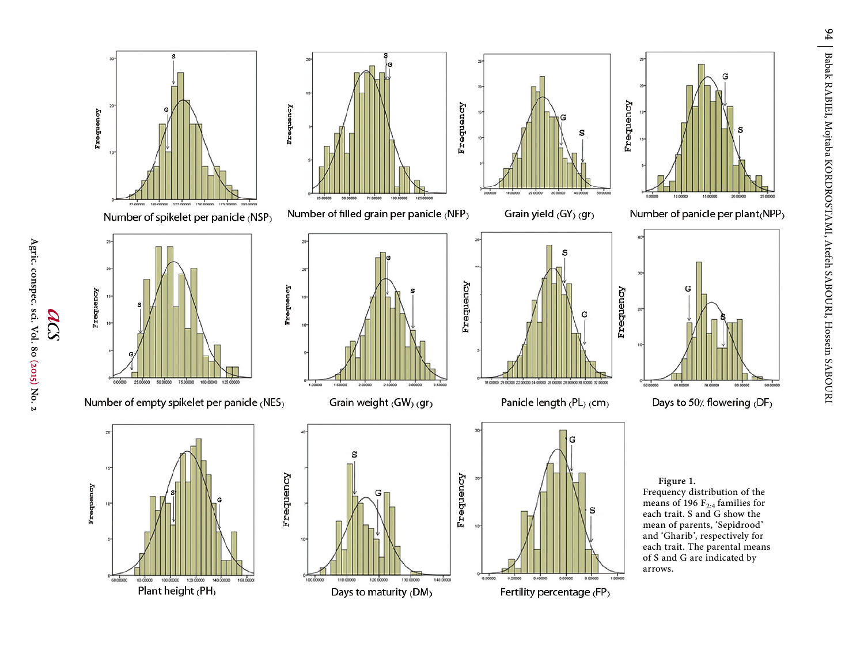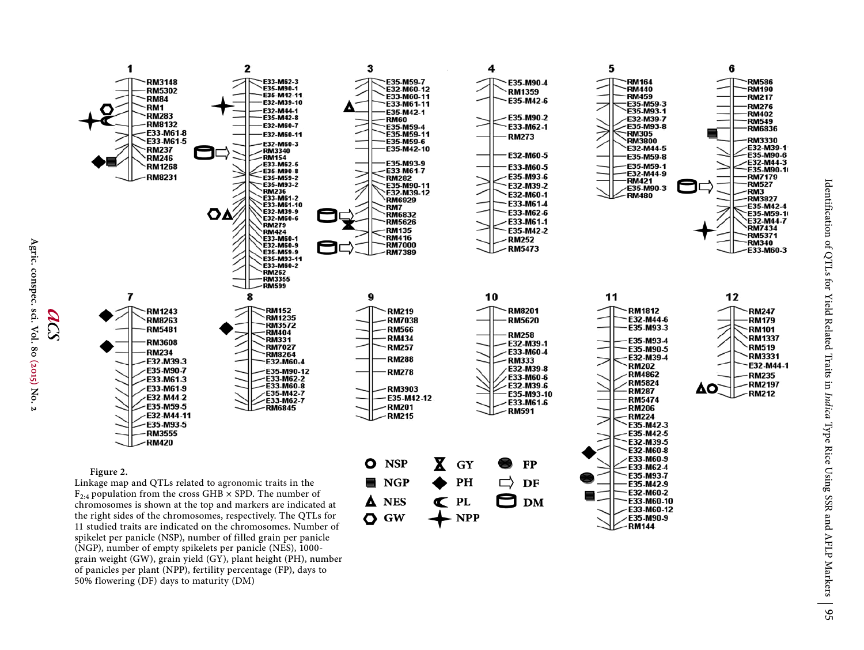

Agric. conspec. sci. Vol. 80 (2015) **Agric. conspec. sci. Vol. 80 (2015) No. 2** No. N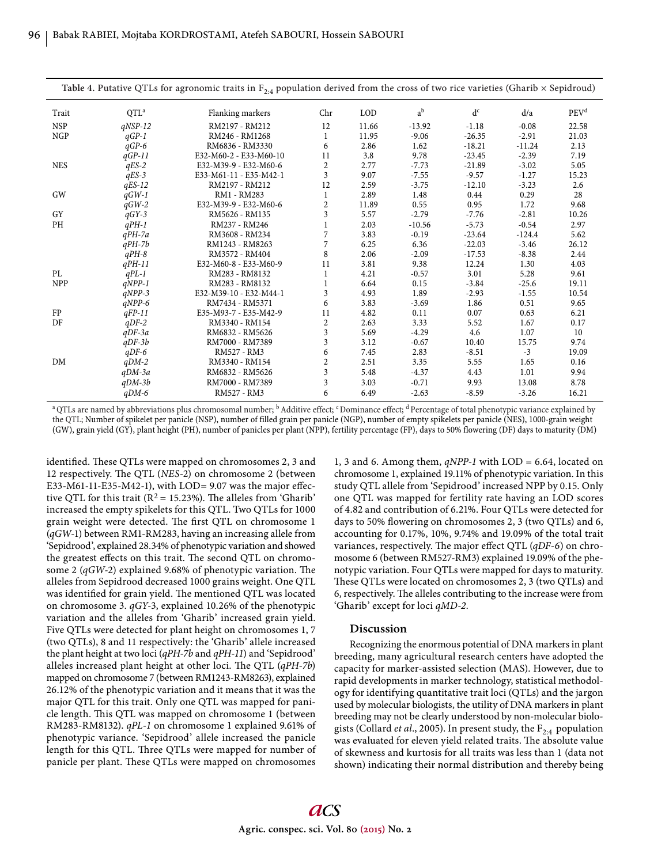| Table 4. Putative QTLs for agronomic traits in $F_{2,4}$ population derived from the cross of two rice varieties (Gharib × Sepidroud) |           |                        |                  |            |          |          |          |                  |
|---------------------------------------------------------------------------------------------------------------------------------------|-----------|------------------------|------------------|------------|----------|----------|----------|------------------|
| Trait                                                                                                                                 | $QTL^a$   | Flanking markers       | Chr              | <b>LOD</b> | $a^b$    | $d^c$    | d/a      | PEV <sup>d</sup> |
| <b>NSP</b>                                                                                                                            | $qNSP-12$ | RM2197 - RM212         | 12               | 11.66      | $-13.92$ | $-1.18$  | $-0.08$  | 22.58            |
| <b>NGP</b>                                                                                                                            | $qGP-1$   | RM246 - RM1268         | 1                | 11.95      | $-9.06$  | $-26.35$ | $-2.91$  | 21.03            |
|                                                                                                                                       | $qGP-6$   | RM6836 - RM3330        | 6                | 2.86       | 1.62     | $-18.21$ | $-11.24$ | 2.13             |
|                                                                                                                                       | $qGP-11$  | E32-M60-2 - E33-M60-10 | 11               | 3.8        | 9.78     | $-23.45$ | $-2.39$  | 7.19             |
| <b>NES</b>                                                                                                                            | $qES-2$   | E32-M39-9 - E32-M60-6  | $\overline{2}$   | 2.77       | $-7.73$  | $-21.89$ | $-3.02$  | 5.05             |
|                                                                                                                                       | $qES-3$   | E33-M61-11 - E35-M42-1 | 3                | 9.07       | $-7.55$  | $-9.57$  | $-1.27$  | 15.23            |
|                                                                                                                                       | $qES-12$  | RM2197 - RM212         | 12               | 2.59       | $-3.75$  | $-12.10$ | $-3.23$  | 2.6              |
| GW                                                                                                                                    | $qGW-1$   | RM1 - RM283            | 1                | 2.89       | 1.48     | 0.44     | 0.29     | 28               |
|                                                                                                                                       | $qGW-2$   | E32-M39-9 - E32-M60-6  | $\boldsymbol{2}$ | 11.89      | 0.55     | 0.95     | 1.72     | 9.68             |
| <b>GY</b>                                                                                                                             | $qGY-3$   | RM5626 - RM135         | 3                | 5.57       | $-2.79$  | $-7.76$  | $-2.81$  | 10.26            |
| PH                                                                                                                                    | $qPH-1$   | RM237 - RM246          |                  | 2.03       | $-10.56$ | $-5.73$  | $-0.54$  | 2.97             |
|                                                                                                                                       | $qPH$ -7a | RM3608 - RM234         | 7                | 3.83       | $-0.19$  | $-23.64$ | $-124.4$ | 5.62             |
|                                                                                                                                       | $qPH-7b$  | RM1243 - RM8263        | 7                | 6.25       | 6.36     | $-22.03$ | $-3.46$  | 26.12            |
|                                                                                                                                       | $qPH-8$   | RM3572 - RM404         | 8                | 2.06       | $-2.09$  | $-17.53$ | $-8.38$  | 2.44             |
|                                                                                                                                       | $qPH-11$  | E32-M60-8 - E33-M60-9  | 11               | 3.81       | 9.38     | 12.24    | 1.30     | 4.03             |
| PL                                                                                                                                    | $qPL-1$   | RM283 - RM8132         |                  | 4.21       | $-0.57$  | 3.01     | 5.28     | 9.61             |
| <b>NPP</b>                                                                                                                            | $qNPP-1$  | RM283 - RM8132         |                  | 6.64       | 0.15     | $-3.84$  | $-25.6$  | 19.11            |
|                                                                                                                                       | $qNPP-3$  | E32-M39-10 - E32-M44-1 | 3                | 4.93       | 1.89     | $-2.93$  | $-1.55$  | 10.54            |
|                                                                                                                                       | $qNPP-6$  | RM7434 - RM5371        | 6                | 3.83       | $-3.69$  | 1.86     | 0.51     | 9.65             |
| FP                                                                                                                                    | $qFP-11$  | E35-M93-7 - E35-M42-9  | 11               | 4.82       | 0.11     | 0.07     | 0.63     | 6.21             |
| DF                                                                                                                                    | $qDF-2$   | RM3340 - RM154         | $\overline{c}$   | 2.63       | 3.33     | 5.52     | 1.67     | 0.17             |
|                                                                                                                                       | $qDF-3a$  | RM6832 - RM5626        | 3                | 5.69       | $-4.29$  | 4.6      | 1.07     | 10               |
|                                                                                                                                       | $qDF-3b$  | RM7000 - RM7389        | 3                | 3.12       | $-0.67$  | 10.40    | 15.75    | 9.74             |
|                                                                                                                                       | $qDF-6$   | RM527 - RM3            | 6                | 7.45       | 2.83     | $-8.51$  | $-3$     | 19.09            |
| DM                                                                                                                                    | $qDM-2$   | RM3340 - RM154         | $\overline{c}$   | 2.51       | 3.35     | 5.55     | 1.65     | 0.16             |
|                                                                                                                                       | $qDM-3a$  | RM6832 - RM5626        | 3                | 5.48       | $-4.37$  | 4.43     | 1.01     | 9.94             |
|                                                                                                                                       | $qDM-3b$  | RM7000 - RM7389        | 3                | 3.03       | $-0.71$  | 9.93     | 13.08    | 8.78             |
|                                                                                                                                       | $qDM-6$   | RM527 - RM3            | 6                | 6.49       | $-2.63$  | $-8.59$  | $-3.26$  | 16.21            |

<sup>a</sup> QTLs are named by abbreviations plus chromosomal number; <sup>b</sup> Additive effect; <sup>c</sup> Dominance effect; <sup>d</sup> Percentage of total phenotypic variance explained by the QTL; Number of spikelet per panicle (NSP), number of filled grain per panicle (NGP), number of empty spikelets per panicle (NES), 1000-grain weight (GW), grain yield (GY), plant height (PH), number of panicles per plant (NPP), fertility percentage (FP), days to 50% flowering (DF) days to maturity (DM)

identified. These QTLs were mapped on chromosomes 2, 3 and 12 respectively. The QTL (*NES-2*) on chromosome 2 (between E33-M61-11-E35-M42-1), with LOD=  $9.07$  was the major effective QTL for this trait ( $R^2 = 15.23\%$ ). The alleles from 'Gharib' increased the empty spikelets for this QTL. Two QTLs for 1000 grain weight were detected. The first QTL on chromosome 1 (*qGW*-1) between RM1-RM283, having an increasing allele from 'Sepidrood', explained 28.34% of phenotypic variation and showed the greatest effects on this trait. The second QTL on chromosome 2 (qGW-2) explained 9.68% of phenotypic variation. The alleles from Sepidrood decreased 1000 grains weight. One QTL was identified for grain yield. The mentioned QTL was located on chromosome 3. *qGY*-3, explained 10.26% of the phenotypic variation and the alleles from 'Gharib' increased grain yield. Five QTLs were detected for plant height on chromosomes 1, 7 (two QTLs), 8 and 11 respectively: the 'Gharib' allele increased the plant height at two loci (*qPH-7b* and *qPH-11*) and 'Sepidrood' alleles increased plant height at other loci. The QTL (*qPH-7b*) mapped on chromosome 7 (between RM1243-RM8263), explained 26.12% of the phenotypic variation and it means that it was the major QTL for this trait. Only one QTL was mapped for panicle length. This QTL was mapped on chromosome 1 (between RM283-RM8132). *qPL*-*1* on chromosome 1 explained 9.61% of phenotypic variance. 'Sepidrood' allele increased the panicle length for this QTL. Three QTLs were mapped for number of panicle per plant. These QTLs were mapped on chromosomes

1, 3 and 6. Among them, *qNPP-1* with LOD = 6.64, located on chromosome 1, explained 19.11% of phenotypic variation. In this study QTL allele from 'Sepidrood' increased NPP by 0.15. Only one QTL was mapped for fertility rate having an LOD scores of 4.82 and contribution of 6.21%. Four QTLs were detected for days to 50% flowering on chromosomes 2, 3 (two QTLs) and 6, accounting for 0.17%, 10%, 9.74% and 19.09% of the total trait variances, respectively. The major effect QTL (*qDF-6*) on chromosome 6 (between RM527-RM3) explained 19.09% of the phenotypic variation. Four QTLs were mapped for days to maturity. These QTLs were located on chromosomes 2, 3 (two QTLs) and 6, respectively. The alleles contributing to the increase were from 'Gharib' except for loci *qMD-2.*

#### **Discussion**

Recognizing the enormous potential of DNA markers in plant breeding, many agricultural research centers have adopted the capacity for marker-assisted selection (MAS). However, due to rapid developments in marker technology, statistical methodology for identifying quantitative trait loci (QTLs) and the jargon used by molecular biologists, the utility of DNA markers in plant breeding may not be clearly understood by non-molecular biologists (Collard *et al.*, 2005). In present study, the F<sub>2:4</sub> population was evaluated for eleven yield related traits. The absolute value of skewness and kurtosis for all traits was less than 1 (data not shown) indicating their normal distribution and thereby being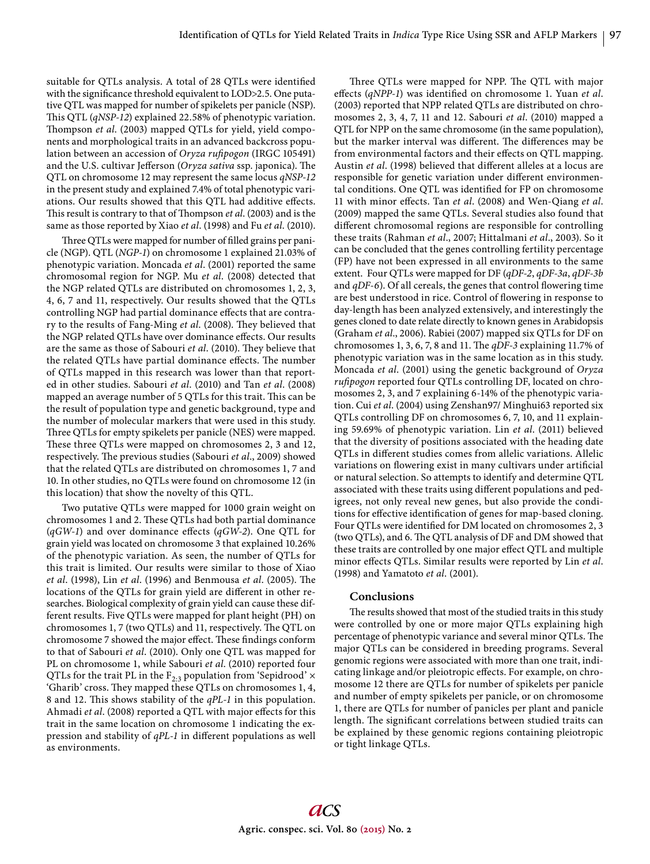suitable for QTLs analysis. A total of 28 QTLs were identified with the significance threshold equivalent to LOD>2.5. One putative QTL was mapped for number of spikelets per panicle (NSP). This QTL (*qNSP-12*) explained 22.58% of phenotypic variation. Thompson *et al.* (2003) mapped QTLs for yield, yield components and morphological traits in an advanced backcross population between an accession of *Oryza rufipogon* (IRGC 105491) and the U.S. cultivar Jefferson (Oryza sativa ssp. japonica). The QTL on chromosome 12 may represent the same locus *qNSP-12* in the present study and explained 7.4% of total phenotypic variations. Our results showed that this QTL had additive effects. This result is contrary to that of Thompson *et al.* (2003) and is the same as those reported by Xiao *et al*. (1998) and Fu *et al*. (2010).

Three QTLs were mapped for number of filled grains per panicle (NGP). QTL (*NGP-1*) on chromosome 1 explained 21.03% of phenotypic variation. Moncada *et al*. (2001) reported the same chromosomal region for NGP. Mu *et al*. (2008) detected that the NGP related QTLs are distributed on chromosomes 1, 2, 3, 4, 6, 7 and 11, respectively. Our results showed that the QTLs controlling NGP had partial dominance effects that are contrary to the results of Fang-Ming et al. (2008). They believed that the NGP related QTLs have over dominance effects. Our results are the same as those of Sabouri et al. (2010). They believe that the related QTLs have partial dominance effects. The number of QTLs mapped in this research was lower than that reported in other studies. Sabouri *et al*. (2010) and Tan *et al*. (2008) mapped an average number of 5 QTLs for this trait. This can be the result of population type and genetic background, type and the number of molecular markers that were used in this study. Three QTLs for empty spikelets per panicle (NES) were mapped. These three QTLs were mapped on chromosomes 2, 3 and 12, respectively. The previous studies (Sabouri et al., 2009) showed that the related QTLs are distributed on chromosomes 1, 7 and 10. In other studies, no QTLs were found on chromosome 12 (in this location) that show the novelty of this QTL.

Two putative QTLs were mapped for 1000 grain weight on chromosomes 1 and 2. These QTLs had both partial dominance (*qGW-1*) and over dominance effects (*qGW-2*). One QTL for grain yield was located on chromosome 3 that explained 10.26% of the phenotypic variation. As seen, the number of QTLs for this trait is limited. Our results were similar to those of Xiao *et al.* (1998), Lin *et al.* (1996) and Benmousa *et al.* (2005). The locations of the QTLs for grain yield are different in other researches. Biological complexity of grain yield can cause these different results. Five QTLs were mapped for plant height (PH) on chromosomes 1, 7 (two QTLs) and 11, respectively. The QTL on chromosome 7 showed the major effect. These findings conform to that of Sabouri *et al*. (2010). Only one QTL was mapped for PL on chromosome 1, while Sabouri *et al*. (2010) reported four QTLs for the trait PL in the  $F_{2,3}$  population from 'Sepidrood'  $\times$ 'Gharib' cross. They mapped these QTLs on chromosomes 1, 4, 8 and 12. This shows stability of the *qPL-1* in this population. Ahmadi et al. (2008) reported a QTL with major effects for this trait in the same location on chromosome 1 indicating the expression and stability of *qPL-1* in different populations as well as environments.

Three QTLs were mapped for NPP. The QTL with major effects (*qNPP-1*) was identified on chromosome 1. Yuan *et al*. (2003) reported that NPP related QTLs are distributed on chromosomes 2, 3, 4, 7, 11 and 12. Sabouri *et al*. (2010) mapped a QTL for NPP on the same chromosome (in the same population), but the marker interval was different. The differences may be from environmental factors and their effects on QTL mapping. Austin *et al.* (1998) believed that different alleles at a locus are responsible for genetic variation under different environmental conditions. One QTL was identified for FP on chromosome 11 with minor effects. Tan et al. (2008) and Wen-Qiang et al. (2009) mapped the same QTLs. Several studies also found that different chromosomal regions are responsible for controlling these traits (Rahman *et al*., 2007; Hittalmani *et al*., 2003). So it can be concluded that the genes controlling fertility percentage (FP) have not been expressed in all environments to the same extent. Four QTLs were mapped for DF (*qDF-2*, *qDF-3a*, *qDF-3b* and *qDF-6*). Of all cereals, the genes that control flowering time are best understood in rice. Control of flowering in response to day-length has been analyzed extensively, and interestingly the genes cloned to date relate directly to known genes in Arabidopsis (Graham *et al*., 2006). Rabiei (2007) mapped six QTLs for DF on chromosomes 1, 3, 6, 7, 8 and 11. The *qDF-3* explaining 11.7% of phenotypic variation was in the same location as in this study. Moncada *et al*. (2001) using the genetic background of *Oryza rufi pogon* reported four QTLs controlling DF, located on chromosomes 2, 3, and 7 explaining 6-14% of the phenotypic variation. Cui *et al*. (2004) using Zenshan97/ Minghui63 reported six QTLs controlling DF on chromosomes 6, 7, 10, and 11 explaining 59.69% of phenotypic variation. Lin *et al*. (2011) believed that the diversity of positions associated with the heading date QTLs in different studies comes from allelic variations. Allelic variations on flowering exist in many cultivars under artificial or natural selection. So attempts to identify and determine QTL associated with these traits using different populations and pedigrees, not only reveal new genes, but also provide the conditions for effective identification of genes for map-based cloning. Four QTLs were identified for DM located on chromosomes 2, 3 (two QTLs), and 6. The QTL analysis of DF and DM showed that these traits are controlled by one major effect QTL and multiple minor effects QTLs. Similar results were reported by Lin *et al*. (1998) and Yamatoto *et al*. (2001).

## **Conclusions**

The results showed that most of the studied traits in this study were controlled by one or more major QTLs explaining high percentage of phenotypic variance and several minor QTLs. The major QTLs can be considered in breeding programs. Several genomic regions were associated with more than one trait, indicating linkage and/or pleiotropic effects. For example, on chromosome 12 there are QTLs for number of spikelets per panicle and number of empty spikelets per panicle, or on chromosome 1, there are QTLs for number of panicles per plant and panicle length. The significant correlations between studied traits can be explained by these genomic regions containing pleiotropic or tight linkage QTLs.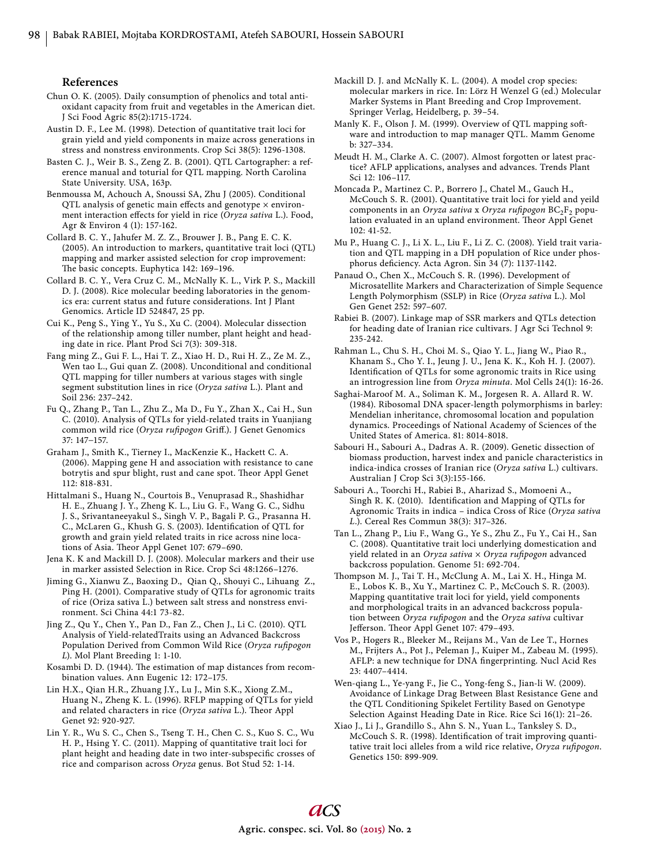#### **References**

- Chun O. K. (2005). Daily consumption of phenolics and total antioxidant capacity from fruit and vegetables in the American diet. J Sci Food Agric 85(2):1715-1724.
- Austin D. F., Lee M. (1998). Detection of quantitative trait loci for grain yield and yield components in maize across generations in stress and nonstress environments. Crop Sci 38(5): 1296-1308.
- Basten C. J., Weir B. S., Zeng Z. B. (2001). QTL Cartographer: a reference manual and toturial for QTL mapping. North Carolina State University. USA, 163p.
- Benmoussa M, Achouch A, Snoussi SA, Zhu J (2005). Conditional QTL analysis of genetic main effects and genotype  $\times$  environment interaction effects for yield in rice (Oryza sativa L.). Food, Agr & Environ 4 (1): 157-162.
- Collard B. C. Y., Jahufer M. Z. Z., Brouwer J. B., Pang E. C. K. (2005). An introduction to markers, quantitative trait loci (QTL) mapping and marker assisted selection for crop improvement: The basic concepts. Euphytica 142: 169-196.
- Collard B. C. Y., Vera Cruz C. M., McNally K. L., Virk P. S., Mackill D. J. (2008). Rice molecular beeding laboratories in the genomics era: current status and future considerations. Int J Plant Genomics. Article ID 524847, 25 pp.
- Cui K., Peng S., Ying Y., Yu S., Xu C. (2004). Molecular dissection of the relationship among tiller number, plant height and heading date in rice. Plant Prod Sci 7(3): 309-318.
- Fang ming Z., Gui F. L., Hai T. Z., Xiao H. D., Rui H. Z., Ze M. Z., Wen tao L., Gui quan Z. (2008). Unconditional and conditional QTL mapping for tiller numbers at various stages with single segment substitution lines in rice (*Oryza sativa* L.). Plant and Soil 236: 237–242.
- Fu Q., Zhang P., Tan L., Zhu Z., Ma D., Fu Y., Zhan X., Cai H., Sun C. (2010). Analysis of QTLs for yield-related traits in Yuanjiang common wild rice (Oryza rufipogon Griff.). J Genet Genomics 37: 147−157.
- Graham J., Smith K., Tierney I., MacKenzie K., Hackett C. A. (2006). Mapping gene H and association with resistance to cane botrytis and spur blight, rust and cane spot. Theor Appl Genet 112: 818-831.
- Hittalmani S., Huang N., Courtois B., Venuprasad R., Shashidhar H. E., Zhuang J. Y., Zheng K. L., Liu G. F., Wang G. C., Sidhu J. S., Srivantaneeyakul S., Singh V. P., Bagali P. G., Prasanna H. C., McLaren G., Khush G. S. (2003). Identification of QTL for growth and grain yield related traits in rice across nine locations of Asia. Theor Appl Genet 107: 679-690.
- Jena K. K and Mackill D. J. (2008). Molecular markers and their use in marker assisted Selection in Rice. Crop Sci 48:1266–1276.
- Jiming G., Xianwu Z., Baoxing D., Qian Q., Shouyi C., Lihuang Z., Ping H. (2001). Comparative study of QTLs for agronomic traits of rice (Oriza sativa L.) between salt stress and nonstress environment. Sci China 44:1 73-82.
- Jing Z., Qu Y., Chen Y., Pan D., Fan Z., Chen J., Li C. (2010). QTL Analysis of Yield-relatedTraits using an Advanced Backcross Population Derived from Common Wild Rice (Oryza rufipogon *L*). Mol Plant Breeding 1: 1-10.
- Kosambi D. D. (1944). The estimation of map distances from recombination values. Ann Eugenic 12: 172–175.
- Lin H.X., Qian H.R., Zhuang J.Y., Lu J., Min S.K., Xiong Z.M., Huang N., Zheng K. L. (1996). RFLP mapping of QTLs for yield and related characters in rice (Oryza sativa L.). Theor Appl Genet 92: 920-927.
- Lin Y. R., Wu S. C., Chen S., Tseng T. H., Chen C. S., Kuo S. C., Wu H. P., Hsing Y. C. (2011). Mapping of quantitative trait loci for plant height and heading date in two inter-subspecific crosses of rice and comparison across *Oryza* genus. Bot Stud 52: 1-14.
- Mackill D. J. and McNally K. L. (2004). A model crop species: molecular markers in rice. In: Lörz H Wenzel G (ed.) Molecular Marker Systems in Plant Breeding and Crop Improvement. Springer Verlag, Heidelberg, p. 39–54.
- Manly K. F., Olson J. M. (1999). Overview of QTL mapping software and introduction to map manager QTL. Mamm Genome b: 327–334.
- Meudt H. M., Clarke A. C. (2007). Almost forgotten or latest practice? AFLP applications, analyses and advances. Trends Plant Sci 12: 106–117.
- Moncada P., Martinez C. P., Borrero J., Chatel M., Gauch H., McCouch S. R. (2001). Quantitative trait loci for yield and yeild components in an *Oryza sativa* x *Oryza rufipogon* BC<sub>2</sub>F<sub>2</sub> population evaluated in an upland environment. Theor Appl Genet 102: 41-52.
- Mu P., Huang C. J., Li X. L., Liu F., Li Z. C. (2008). Yield trait variation and QTL mapping in a DH population of Rice under phosphorus deficiency. Acta Agron. Sin 34 (7): 1137-1142.
- Panaud O., Chen X., McCouch S. R. (1996). Development of Microsatellite Markers and Characterization of Simple Sequence Length Polymorphism (SSLP) in Rice (*Oryza sativa* L.). Mol Gen Genet 252: 597–607.
- Rabiei B. (2007). Linkage map of SSR markers and QTLs detection for heading date of Iranian rice cultivars. J Agr Sci Technol 9: 235-242.
- Rahman L., Chu S. H., Choi M. S., Qiao Y. L., Jiang W., Piao R., Khanam S., Cho Y. I., Jeung J. U., Jena K. K., Koh H. J. (2007). Identification of QTLs for some agronomic traits in Rice using an introgression line from *Oryza minuta*. Mol Cells 24(1): 16-26.
- Saghai-Maroof M. A., Soliman K. M., Jorgesen R. A. Allard R. W. (1984). Ribosomal DNA spacer-length polymorphisms in barley: Mendelian inheritance, chromosomal location and population dynamics. Proceedings of National Academy of Sciences of the United States of America. 81: 8014-8018.
- Sabouri H., Sabouri A., Dadras A. R. (2009). Genetic dissection of biomass production, harvest index and panicle characteristics in indica-indica crosses of Iranian rice (*Oryza sativa* L.) cultivars. Australian J Crop Sci 3(3):155-166.
- Sabouri A., Toorchi H., Rabiei B., Aharizad S., Momoeni A., Singh R. K. (2010). Identification and Mapping of QTLs for Agronomic Traits in indica – indica Cross of Rice (*Oryza sativa L*.). Cereal Res Commun 38(3): 317–326.
- Tan L., Zhang P., Liu F., Wang G., Ye S., Zhu Z., Fu Y., Cai H., San C. (2008). Quantitative trait loci underlying domestication and yield related in an *Oryza sativa* × *Oryza rufi pogon* advanced backcross population. Genome 51: 692-704.
- Thompson M. J., Tai T. H., McClung A. M., Lai X. H., Hinga M. E., Lobos K. B., Xu Y., Martinez C. P., McCouch S. R. (2003). Mapping quantitative trait loci for yield, yield components and morphological traits in an advanced backcross population between *Oryza rufi pogon* and the *Oryza sativa* cultivar Jefferson. Theor Appl Genet 107: 479-493.
- Vos P., Hogers R., Bleeker M., Reijans M., Van de Lee T., Hornes M., Frijters A., Pot J., Peleman J., Kuiper M., Zabeau M. (1995). AFLP: a new technique for DNA fingerprinting. Nucl Acid Res 23: 4407–4414.
- Wen-qiang L., Ye-yang F., Jie C., Yong-feng S., Jian-li W. (2009). Avoidance of Linkage Drag Between Blast Resistance Gene and the QTL Conditioning Spikelet Fertility Based on Genotype Selection Against Heading Date in Rice. Rice Sci 16(1): 21–26.
- Xiao J., Li J., Grandillo S., Ahn S. N., Yuan L., Tanksley S. D., McCouch S. R. (1998). Identification of trait improving quantitative trait loci alleles from a wild rice relative, Oryza rufipogon. Genetics 150: 899-909.